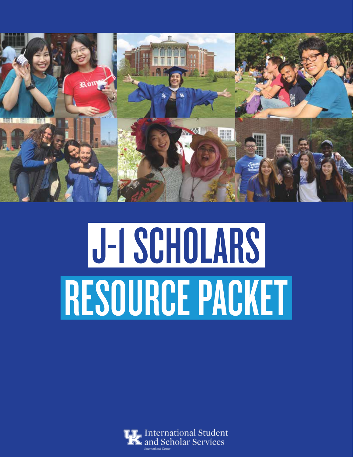

# J-1 SCHOLARS RESOURCE PACKET

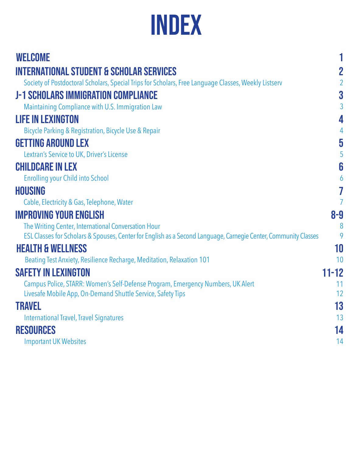# Index

| <b>WELCOME</b>                                                                                                  |                         |
|-----------------------------------------------------------------------------------------------------------------|-------------------------|
| <b>INTERNATIONAL STUDENT &amp; SCHOLAR SERVICES</b>                                                             | $\overline{2}$          |
| Society of Postdoctoral Scholars, Special Trips for Scholars, Free Language Classes, Weekly Listserv            | $\overline{2}$          |
| <b>J-1 SCHOLARS IMMIGRATION COMPLIANCE</b>                                                                      | $\overline{\mathbf{3}}$ |
| Maintaining Compliance with U.S. Immigration Law                                                                | 3                       |
| <b>LIFE IN LEXINGTON</b>                                                                                        | 4                       |
| Bicycle Parking & Registration, Bicycle Use & Repair                                                            | $\overline{4}$          |
| <b>GETTING AROUND LEX</b>                                                                                       | $\overline{\mathbf{5}}$ |
| Lextran's Service to UK, Driver's License                                                                       | 5                       |
| <b>CHILDCARE IN LEX</b>                                                                                         | 6                       |
| <b>Enrolling your Child into School</b>                                                                         | 6                       |
| <b>HOUSING</b>                                                                                                  | 7                       |
| Cable, Electricity & Gas, Telephone, Water                                                                      | 7                       |
| <b>IMPROVING YOUR ENGLISH</b>                                                                                   | $8-9$                   |
| The Writing Center, International Conversation Hour                                                             | 8                       |
| ESL Classes for Scholars & Spouses, Center for English as a Second Language, Carnegie Center, Community Classes | 9                       |
| <b>HEALTH &amp; WELLNESS</b>                                                                                    | 10                      |
| Beating Test Anxiety, Resilience Recharge, Meditation, Relaxation 101                                           | 10                      |
| <b>SAFETY IN LEXINGTON</b>                                                                                      | $11 - 12$               |
| Campus Police, STARR: Women's Self-Defense Program, Emergency Numbers, UK Alert                                 | 11<br>12                |
| Livesafe Mobile App, On-Demand Shuttle Service, Safety Tips                                                     |                         |
| <b>TRAVEL</b>                                                                                                   | 13                      |
| <b>International Travel, Travel Signatures</b>                                                                  | 13                      |
| <b>RESOURCES</b>                                                                                                | 14                      |
| <b>Important UK Websites</b>                                                                                    | 14                      |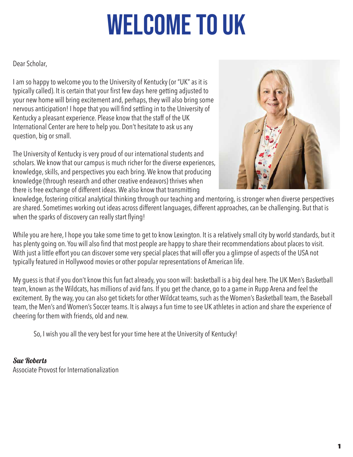# Welcome to uk

Dear Scholar,

I am so happy to welcome you to the University of Kentucky (or "UK" as it is typically called). It is certain that your first few days here getting adjusted to your new home will bring excitement and, perhaps, they will also bring some nervous anticipation! I hope that you will find settling in to the University of Kentucky a pleasant experience. Please know that the staff of the UK International Center are here to help you. Don't hesitate to ask us any question, big or small.

The University of Kentucky is very proud of our international students and scholars. We know that our campus is much richer for the diverse experiences, knowledge, skills, and perspectives you each bring. We know that producing knowledge (through research and other creative endeavors) thrives when there is free exchange of different ideas. We also know that transmitting



knowledge, fostering critical analytical thinking through our teaching and mentoring, is stronger when diverse perspectives are shared. Sometimes working out ideas across different languages, different approaches, can be challenging. But that is when the sparks of discovery can really start flying!

While you are here, I hope you take some time to get to know Lexington. It is a relatively small city by world standards, but it has plenty going on. You will also find that most people are happy to share their recommendations about places to visit. With just a little effort you can discover some very special places that will offer you a glimpse of aspects of the USA not typically featured in Hollywood movies or other popular representations of American life.

My guess is that if you don't know this fun fact already, you soon will: basketball is a big deal here. The UK Men's Basketball team, known as the Wildcats, has millions of avid fans. If you get the chance, go to a game in Rupp Arena and feel the excitement. By the way, you can also get tickets for other Wildcat teams, such as the Women's Basketball team, the Baseball team, the Men's and Women's Soccer teams. It is always a fun time to see UK athletes in action and share the experience of cheering for them with friends, old and new.

So, I wish you all the very best for your time here at the University of Kentucky!

Sue Roberts Associate Provost for Internationalization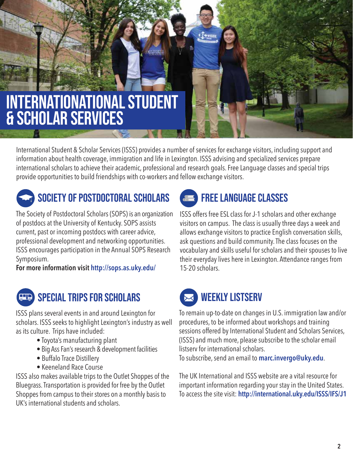# internationational student & scholar services

International Student & Scholar Services (ISSS) provides a number of services for exchange visitors, including support and information about health coverage, immigration and life in Lexington. ISSS advising and specialized services prepare international scholars to achieve their academic, professional and research goals. Free Language classes and special trips provide opportunities to build friendships with co-workers and fellow exchange visitors.

# SOCIETY OF POSTDOCTORAL SCHOLARS

The Society of Postdoctoral Scholars (SOPS) is an organization of postdocs at the University of Kentucky. SOPS assists current, past or incoming postdocs with career advice, professional development and networking opportunities. ISSS encourages participation in the Annual SOPS Research Symposium.

**For more information visit http://sops.as.uky.edu/** 

# Special Trips for Scholars

ISSS plans several events in and around Lexington for scholars. ISSS seeks to highlight Lexington's industry as well as its culture. Trips have included:

- Toyota's manufacturing plant
- Big Ass Fan's research & development facilities
- Buffalo Trace Distillery
- Keeneland Race Course

ISSS also makes available trips to the Outlet Shoppes of the Bluegrass. Transportation is provided for free by the Outlet Shoppes from campus to their stores on a monthly basis to UK's international students and scholars.

### Free Language Classes  $\overline{\mathbf{a}}$

ISSS offers free ESL class for J-1 scholars and other exchange visitors on campus. The class is usually three days a week and allows exchange visitors to practice English conversation skills, ask questions and build community. The class focuses on the vocabulary and skills useful for scholars and their spouses to live their everyday lives here in Lexington. Attendance ranges from 15-20 scholars.

# WEEKLY LISTSERV

To remain up-to-date on changes in U.S. immigration law and/or procedures, to be informed about workshops and training sessions offered by International Student and Scholars Services, (ISSS) and much more, please subscribe to the scholar email listserv for international scholars.

To subscribe, send an email to **marc.invergo@uky.edu**.

The UK International and ISSS website are a vital resource for important information regarding your stay in the United States. To access the site visit: **http://international.uky.edu/ISSS/IFS/J1**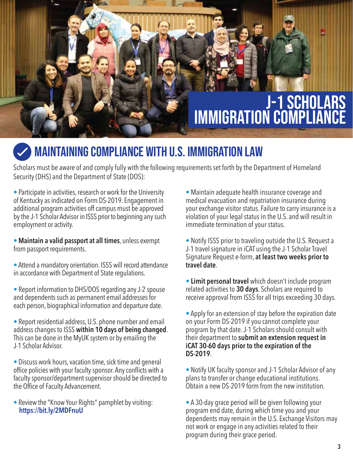# J-1 scholars immigration compliance

# **WAINTAINING COMPLIANCE WITH U.S. IMMIGRATION LAW**

Scholars must be aware of and comply fully with the following requirements set forth by the Department of Homeland Security (DHS) and the Department of State (DOS):

• Participate in activities, research or work for the University of Kentucky as indicated on Form DS-2019. Engagement in additional program activities off campus must be approved by the J-1 Scholar Advisor in ISSS prior to beginning any such employment or activity.

• **Maintain a valid passport at all times**, unless exempt from passport requirements.

• Attend a mandatory orientation. ISSS will record attendance in accordance with Department of State regulations.

• Report information to DHS/DOS regarding any J-2 spouse and dependents such as permanent email addresses for each person, biographical information and departure date.

• Report residential address, U.S. phone number and email address changes to ISSS **within 10 days of being changed**. This can be done in the MyUK system or by emailing the J-1 Scholar Advisor.

• Discuss work hours, vacation time, sick time and general office policies with your faculty sponsor. Any conflicts with a faculty sponsor/department supervisor should be directed to the Office of Faculty Advancement.

• Review the "Know Your Rights" pamphlet by visiting:  **https://bit.ly/2MDFnuU**

• Maintain adequate health insurance coverage and medical evacuation and repatriation insurance during your exchange visitor status. Failure to carry insurance is a violation of your legal status in the U.S. and will result in immediate termination of your status.

• Notify ISSS prior to traveling outside the U.S. Request a J-1 travel signature in iCAT using the J-1 Scholar Travel Signature Request e-form, **at least two weeks prior to travel date**.

• **Limit personal travel** which doesn't include program related activities to **30 days**. Scholars are required to receive approval from ISSS for all trips exceeding 30 days.

• Apply for an extension of stay before the expiration date on your Form DS-2019 if you cannot complete your program by that date. J-1 Scholars should consult with their department to **submit an extension request in iCAT 30-60 days prior to the expiration of the DS-2019**.

• Notify UK faculty sponsor and J-1 Scholar Advisor of any plans to transfer or change educational institutions. Obtain a new DS-2019 form from the new institution.

• A 30-day grace period will be given following your program end date, during which time you and your dependents may remain in the U.S. Exchange Visitors may not work or engage in any activities related to their program during their grace period.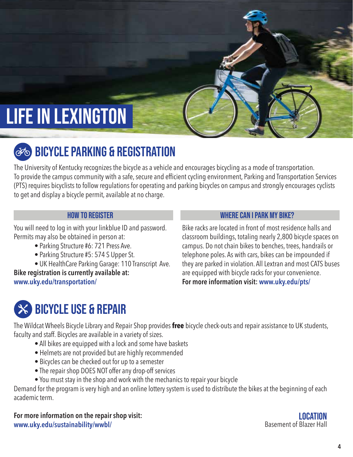# LIFE IN LEXINGTON

# **BICYCLE PARKING & REGISTRATION**

The University of Kentucky recognizes the bicycle as a vehicle and encourages bicycling as a mode of transportation. To provide the campus community with a safe, secure and efficient cycling environment, Parking and Transportation Services (PTS) requires bicyclists to follow regulations for operating and parking bicycles on campus and strongly encourages cyclists to get and display a bicycle permit, available at no charge.

You will need to log in with your linkblue ID and password. Permits may also be obtained in person at:

- Parking Structure #6: 721 Press Ave.
- Parking Structure #5: 574 S Upper St.
- UK HealthCare Parking Garage: 110 Transcript Ave.

**Bike registration is currently available at: www.uky.edu/transportation/**

### HOW TO REGISTER WHERE CAN I PARK MY BIKE?

Bike racks are located in front of most residence halls and classroom buildings, totaling nearly 2,800 bicycle spaces on campus. Do not chain bikes to benches, trees, handrails or telephone poles. As with cars, bikes can be impounded if they are parked in violation. All Lextran and most CATS buses are equipped with bicycle racks for your convenience. **For more information visit: www.uky.edu/pts/** 

# bicycle use & repair

The Wildcat Wheels Bicycle Library and Repair Shop provides **free** bicycle check-outs and repair assistance to UK students, faculty and staff. Bicycles are available in a variety of sizes.

- All bikes are equipped with a lock and some have baskets
- Helmets are not provided but are highly recommended
- Bicycles can be checked out for up to a semester
- The repair shop DOES NOT offer any drop-off services
- You must stay in the shop and work with the mechanics to repair your bicycle

Demand for the program is very high and an online lottery system is used to distribute the bikes at the beginning of each academic term.

**For more information on the repair shop visit: www.uky.edu/sustainability/wwbl/**

Basement of Blazer Hall **LOCATION**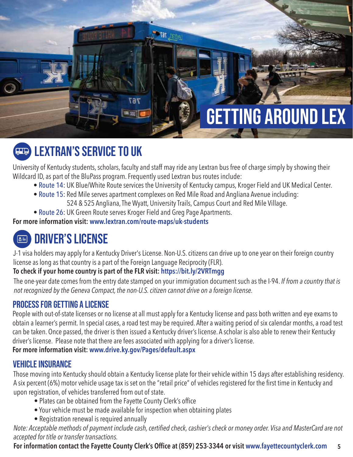# Getting Around LEX

# Lextran's service to uk

University of Kentucky students, scholars, faculty and staff may ride any Lextran bus free of charge simply by showing their Wildcard ID, as part of the BluPass program. Frequently used Lextran bus routes include:

**extract 767<sup>c</sup>** 

- Route 14: UK Blue/White Route services the University of Kentucky campus, Kroger Field and UK Medical Center.
- Route 15: Red Mile serves apartment complexes on Red Mile Road and Angliana Avenue including: 524 & 525 Angliana, The Wyatt, University Trails, Campus Court and Red Mile Village.
- Route 26: UK Green Route serves Kroger Field and Greg Page Apartments.

7 R 7

**For more information visit: www.lextran.com/route-maps/uk-students**

### 圖 Driver's License

J-1 visa holders may apply for a Kentucky Driver's License. Non-U.S. citizens can drive up to one year on their foreign country license as long as that country is a part of the Foreign Language Reciprocity (FLR).

### **To check if your home country is part of the FLR visit: https://bit.ly/2VRTmgg**

The one-year date comes from the entry date stamped on your immigration document such as the I-94. *If from a country that is not recognized by the Geneva Compact, the non-U.S. citizen cannot drive on a foreign license.*

### Process for getting a license

People with out-of-state licenses or no license at all must apply for a Kentucky license and pass both written and eye exams to obtain a learner's permit. In special cases, a road test may be required. After a waiting period of six calendar months, a road test can be taken. Once passed, the driver is then issued a Kentucky driver's license. A scholar is also able to renew their Kentucky driver's license. Please note that there are fees associated with applying for a driver's license.

### **For more information visit: www.drive.ky.gov/Pages/default.aspx**

### vehicle insurance

Those moving into Kentucky should obtain a Kentucky license plate for their vehicle within 15 days after establishing residency. A six percent (6%) motor vehicle usage tax is set on the "retail price" of vehicles registered for the first time in Kentucky and upon registration, of vehicles transferred from out of state.

- Plates can be obtained from the Fayette County Clerk's office
- Your vehicle must be made available for inspection when obtaining plates
- Registration renewal is required annually

*Note: Acceptable methods of payment include cash, certified check, cashier's check or money order. Visa and MasterCard are not accepted for title or transfer transactions.*

**5 For information contact the Fayette County Clerk's Office at (859) 253-3344 or visit www.fayettecountyclerk.com**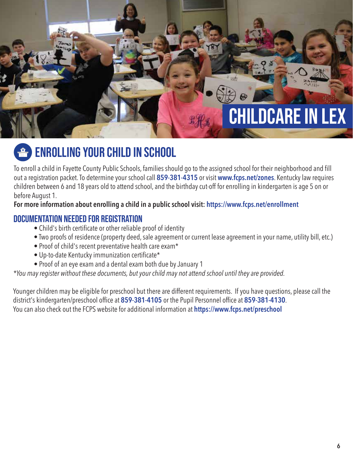# CHILDCARE IN LEX

# enrolling your child in school

To enroll a child in Fayette County Public Schools, families should go to the assigned school for their neighborhood and fill out a registration packet. To determine your school call **859-381-4315** or visit **www.fcps.net/zones**. Kentucky law requires children between 6 and 18 years old to attend school, and the birthday cut-off for enrolling in kindergarten is age 5 on or before August 1.

### **For more information about enrolling a child in a public school visit: https://www.fcps.net/enrollment**

### Documentation needed for registration

- Child's birth certificate or other reliable proof of identity
- Two proofs of residence (property deed, sale agreement or current lease agreement in your name, utility bill, etc.)
- Proof of child's recent preventative health care exam\*
- Up-to-date Kentucky immunization certificate\*
- Proof of an eye exam and a dental exam both due by January 1

### *\*You may register without these documents, but your child may not attend school until they are provided.*

Younger children may be eligible for preschool but there are different requirements. If you have questions, please call the district's kindergarten/preschool office at **859-381-4105** or the Pupil Personnel office at **859-381-4130**. You can also check out the FCPS website for additional information at **https://www.fcps.net/preschool**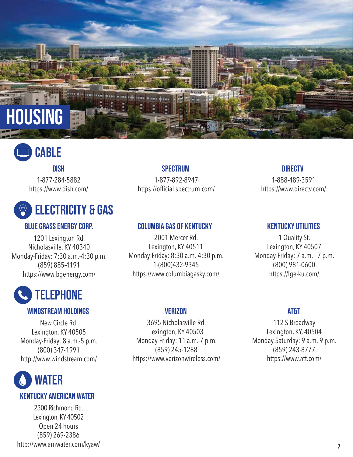

# **CABLE**

### Dish

1-877-284-5882 https://www.dish.com/

# Electricity & gas

1201 Lexington Rd. Nicholasville, KY 40340 Monday-Friday: 7:30 a.m.-4:30 p.m. (859) 885-4191 https://www.bgenergy.com/

# **TELEPHONE**

### Windstream holdings Verizon

New Circle Rd. Lexington, KY 40505 Monday-Friday: 8 a.m.-5 p.m. (800) 347-1991 http://www.windstream.com/



### Kentucky American Water

2300 Richmond Rd. Lexington, KY 40502 Open 24 hours (859) 269-2386 http://www.amwater.com/kyaw/ **<sup>7</sup>**

### **SPECTRUM**

1-877-892-8947 https://official.spectrum.com/

### Blue Grass Energy Corp. Columbia gas of Kentucky

2001 Mercer Rd. Lexington, KY 40511 Monday-Friday: 8:30 a.m.-4:30 p.m. 1-(800)432-9345 https://www.columbiagasky.com/

### **DIRECTV**

1-888-489-3591 https://www.directv.com/

### Kentucky Utilities

1 Quality St. Lexington, KY 40507 Monday-Friday: 7 a.m. - 7 p.m. (800) 981-0600 https://lge-ku.com/

3695 Nicholasville Rd. Lexington, KY 40503 Monday-Friday: 11 a.m.-7 p.m. (859) 245-1288 https://www.verizonwireless.com/

### **AT&T**

112 S Broadway Lexington, KY, 40504 Monday-Saturday: 9 a.m.-9 p.m. (859) 243-8777 https://www.att.com/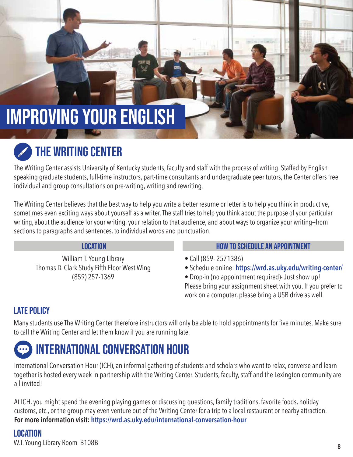# IMPROVING YOUR ENGlISH

# The Writing Center

The Writing Center assists University of Kentucky students, faculty and staff with the process of writing. Staffed by English speaking graduate students, full-time instructors, part-time consultants and undergraduate peer tutors, the Center offers free individual and group consultations on pre-writing, writing and rewriting.

The Writing Center believes that the best way to help you write a better resume or letter is to help you think in productive, sometimes even exciting ways about yourself as a writer. The staff tries to help you think about the purpose of your particular writing, about the audience for your writing, your relation to that audience, and about ways to organize your writing—from sections to paragraphs and sentences, to individual words and punctuation.

William T. Young Library Thomas D. Clark Study Fifth Floor West Wing (859) 257-1369

- Location HOW TO SCHEDULE AN APPOINTMENT
	- Call (859- 2571386)
	- Schedule online: **https://wrd.as.uky.edu/writing-center/**

• Drop-in (no appointment required)- Just show up! Please bring your assignment sheet with you. If you prefer to work on a computer, please bring a USB drive as well.

### Late policy

Many students use The Writing Center therefore instructors will only be able to hold appointments for five minutes. Make sure to call the Writing Center and let them know if you are running late.

# International Conversation hour

International Conversation Hour (ICH), an informal gathering of students and scholars who want to relax, converse and learn together is hosted every week in partnership with the Writing Center. Students, faculty, staff and the Lexington community are all invited!

At ICH, you might spend the evening playing games or discussing questions, family traditions, favorite foods, holiday customs, etc., or the group may even venture out of the Writing Center for a trip to a local restaurant or nearby attraction. **For more information visit: https://wrd.as.uky.edu/international-conversation-hour**

### **LOCATION**

W.T. Young Library Room B108B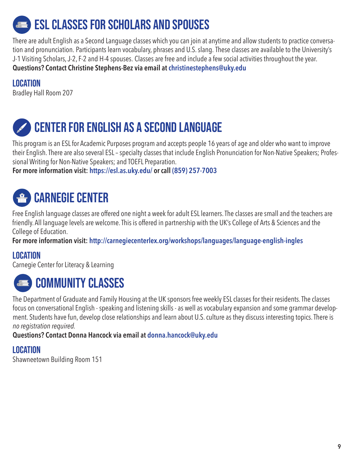# **ESL CLASSES FOR SCHOLARS AND SPOUSES**

There are adult English as a Second Language classes which you can join at anytime and allow students to practice conversation and pronunciation. Participants learn vocabulary, phrases and U.S. slang. These classes are available to the University's J-1 Visiting Scholars, J-2, F-2 and H-4 spouses. Classes are free and include a few social activities throughout the year. **Questions? Contact Christine Stephens-Bez via email at christinestephens@uky.edu**

### Location

Bradley Hall Room 207

# CENTER FOR ENGLISH AS A SECOND LANGUAGE

This program is an ESL for Academic Purposes program and accepts people 16 years of age and older who want to improve their English. There are also several ESL – specialty classes that include English Pronunciation for Non-Native Speakers; Professional Writing for Non-Native Speakers; and TOEFL Preparation.

**For more information visit: https://esl.as.uky.edu/ or call (859) 257-7003**

# **CARNEGIE CENTER**

Free English language classes are offered one night a week for adult ESL learners. The classes are small and the teachers are friendly. All language levels are welcome. This is offered in partnership with the UK's College of Arts & Sciences and the College of Education.

**For more information visit: http://carnegiecenterlex.org/workshops/languages/language-english-ingles**

### **LOCATION**

Carnegie Center for Literacy & Learning



The Department of Graduate and Family Housing at the UK sponsors free weekly ESL classes for their residents. The classes focus on conversational English - speaking and listening skills - as well as vocabulary expansion and some grammar development. Students have fun, develop close relationships and learn about U.S. culture as they discuss interesting topics. There is *no registration required.*

**Questions? Contact Donna Hancock via email at donna.hancock@uky.edu**

### Location

Shawneetown Building Room 151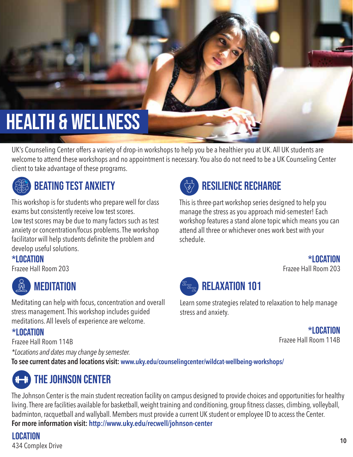# health & wellness

UK's Counseling Center offers a variety of drop-in workshops to help you be a healthier you at UK. All UK students are welcome to attend these workshops and no appointment is necessary. You also do not need to be a UK Counseling Center client to take advantage of these programs.



## beating test anxiety

This workshop is for students who prepare well for class exams but consistently receive low test scores. Low test scores may be due to many factors such as test anxiety or concentration/focus problems. The workshop facilitator will help students definite the problem and develop useful solutions.

 $*$ Location

Frazee Hall Room 203



Meditating can help with focus, concentration and overall stress management. This workshop includes guided meditations. All levels of experience are welcome.

### \*Location

Frazee Hall Room 114B

*\*Locations and dates may change by semester.* 

**To see current dates and locations visit: www.uky.edu/counselingcenter/wildcat-wellbeing-workshops/**

# **The JOHNSON CENTER**

The Johnson Center is the main student recreation facility on campus designed to provide choices and opportunities for healthy living. There are facilities available for basketball, weight training and conditioning, group fitness classes, climbing, volleyball, badminton, racquetball and wallyball. Members must provide a current UK student or employee ID to access the Center. **For more information visit: http://www.uky.edu/recwell/johnson-center**

Location 434 Complex Drive



# resilience recharge

This is three-part workshop series designed to help you manage the stress as you approach mid-semester! Each workshop features a stand alone topic which means you can attend all three or whichever ones work best with your schedule.

### $*$ Location

Frazee Hall Room 203



## relaxation 101

Learn some strategies related to relaxation to help manage stress and anxiety.

> $*$ Location Frazee Hall Room 114B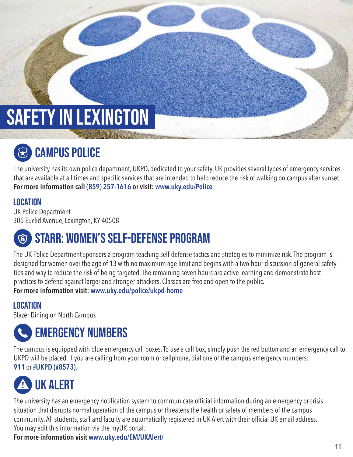# SAFETY IN LEXINGTON

# C<sub>3</sub> CAMPUS POLICE

The university has its own police department, UKPD, dedicated to your safety. UK provides several types of emergency services that are available at all times and specific services that are intended to help reduce the risk of walking on campus after sunset. **For more information call (859) 257-1616 or visit: www.uky.edu/Police** 

### Location

UK Police Department 305 Euclid Avenue, Lexington, KY 40508

# STARR: women's self-defense program

The UK Police Department sponsors a program teaching self-defense tactics and strategies to minimize risk. The program is designed for women over the age of 13 with no maximum age limit and begins with a two-hour discussion of general safety tips and way to reduce the risk of being targeted. The remaining seven hours are active learning and demonstrate best practices to defend against larger and stronger attackers. Classes are free and open to the public. **For more information visit: www.uky.edu/police/ukpd-home**

### Location

Blazer Dining on North Campus

# Emergency Numbers

The campus is equipped with blue emergency call boxes. To use a call box, simply push the red button and an emergency call to UKPD will be placed. If you are calling from your room or cellphone, dial one of the campus emergency numbers: **911** or **#UKPD (#8573)**.

# UK Alert

The university has an emergency notification system to communicate official information during an emergency or crisis situation that disrupts normal operation of the campus or threatens the health or safety of members of the campus community. All students, staff and faculty are automatically registered in UK Alert with their official UK email address. You may edit this information via the myUK portal.

**For more information visit www.uky.edu/EM/UKAlert/**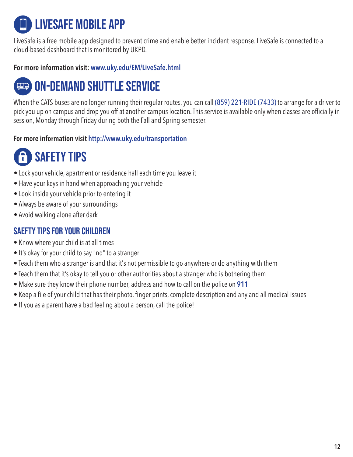# LiveSafe mobile app

LiveSafe is a free mobile app designed to prevent crime and enable better incident response. LiveSafe is connected to a cloud-based dashboard that is monitored by UKPD.

### **For more information visit: www.uky.edu/EM/LiveSafe.html**

# On-demand shuttle service

When the CATS buses are no longer running their regular routes, you can call (859) 221-RIDE (7433) to arrange for a driver to pick you up on campus and drop you off at another campus location. This service is available only when classes are officially in session, Monday through Friday during both the Fall and Spring semester.

### **For more information visit http://www.uky.edu/transportation**

# f SAFETY TIPS

- Lock your vehicle, apartment or residence hall each time you leave it
- Have your keys in hand when approaching your vehicle
- Look inside your vehicle prior to entering it
- Always be aware of your surroundings
- Avoid walking alone after dark

### Saefty tips for your children

- Know where your child is at all times
- It's okay for your child to say "no" to a stranger
- Teach them who a stranger is and that it's not permissible to go anywhere or do anything with them
- Teach them that it's okay to tell you or other authorities about a stranger who is bothering them
- Make sure they know their phone number, address and how to call on the police on **911**
- Keep a file of your child that has their photo, finger prints, complete description and any and all medical issues
- If you as a parent have a bad feeling about a person, call the police!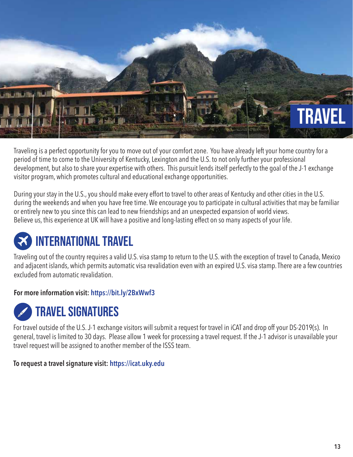

Traveling is a perfect opportunity for you to move out of your comfort zone. You have already left your home country for a period of time to come to the University of Kentucky, Lexington and the U.S. to not only further your professional development, but also to share your expertise with others. This pursuit lends itself perfectly to the goal of the J-1 exchange visitor program, which promotes cultural and educational exchange opportunities.

During your stay in the U.S., you should make every effort to travel to other areas of Kentucky and other cities in the U.S. during the weekends and when you have free time. We encourage you to participate in cultural activities that may be familiar or entirely new to you since this can lead to new friendships and an unexpected expansion of world views. Believe us, this experience at UK will have a positive and long-lasting effect on so many aspects of your life.

# international travel

Traveling out of the country requires a valid U.S. visa stamp to return to the U.S. with the exception of travel to Canada, Mexico and adjacent islands, which permits automatic visa revalidation even with an expired U.S. visa stamp. There are a few countries excluded from automatic revalidation.

### **For more information visit: https://bit.ly/2BxWwf3**



For travel outside of the U.S. J-1 exchange visitors will submit a request for travel in iCAT and drop off your DS-2019(s). In general, travel is limited to 30 days. Please allow 1 week for processing a travel request. If the J-1 advisor is unavailable your travel request will be assigned to another member of the ISSS team.

### **To request a travel signature visit: https://icat.uky.edu**